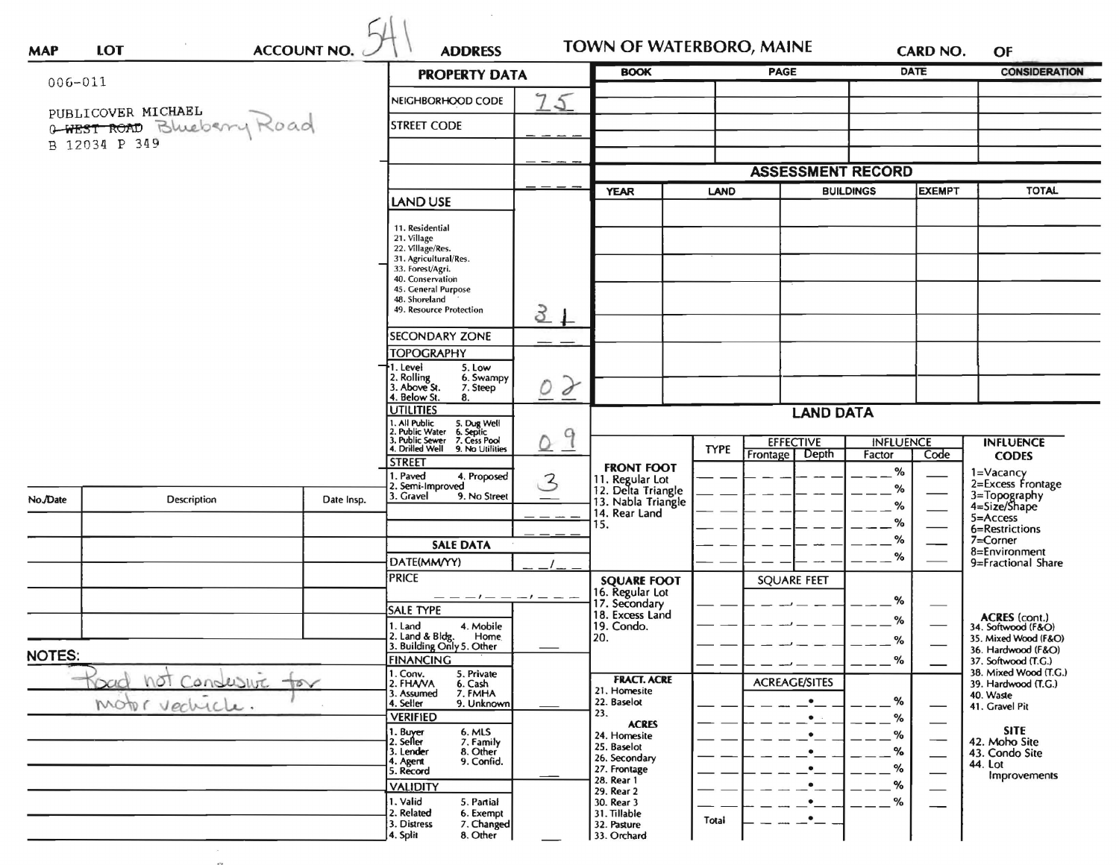|                                                                            |                            | <b>PROPERTY DATA</b> |                                                                                                                                                                                 | <b>BOOK</b>        |                                                             | <b>PAGE</b>                     |                                      | <b>DATE</b>                | <b>CONSIDERATION</b>         |                                              |
|----------------------------------------------------------------------------|----------------------------|----------------------|---------------------------------------------------------------------------------------------------------------------------------------------------------------------------------|--------------------|-------------------------------------------------------------|---------------------------------|--------------------------------------|----------------------------|------------------------------|----------------------------------------------|
| 006-011                                                                    |                            | NEIGHBORHOOD CODE    | $\mathcal{L}$                                                                                                                                                                   |                    |                                                             |                                 |                                      |                            |                              |                                              |
|                                                                            | PUBLICOVER MICHAEL         |                      |                                                                                                                                                                                 |                    |                                                             |                                 |                                      |                            |                              |                                              |
| B 12034 P 349                                                              | 0-WEST ROAD Blueberry Road |                      | <b>STREET CODE</b>                                                                                                                                                              |                    |                                                             |                                 |                                      |                            |                              |                                              |
|                                                                            |                            |                      |                                                                                                                                                                                 |                    |                                                             |                                 |                                      |                            |                              |                                              |
|                                                                            |                            |                      |                                                                                                                                                                                 |                    |                                                             | <b>ASSESSMENT RECORD</b>        |                                      |                            |                              |                                              |
|                                                                            |                            | LAND USE             |                                                                                                                                                                                 | <b>YEAR</b>        |                                                             | <b>LAND</b><br><b>BUILDINGS</b> |                                      | <b>EXEMPT</b>              | <b>TOTAL</b>                 |                                              |
|                                                                            |                            |                      | 11. Residential                                                                                                                                                                 |                    |                                                             |                                 |                                      |                            |                              |                                              |
|                                                                            |                            |                      | 21. Village<br>22. Village/Res.                                                                                                                                                 |                    |                                                             |                                 |                                      |                            |                              |                                              |
|                                                                            |                            |                      | 31. Agricultural/Res.<br>33. Forest/Agri.                                                                                                                                       |                    |                                                             |                                 |                                      |                            |                              |                                              |
|                                                                            |                            |                      | 40. Conservation<br>45. General Purpose                                                                                                                                         |                    |                                                             |                                 |                                      |                            |                              |                                              |
|                                                                            |                            |                      | 48. Shoreland<br>49. Resource Protection                                                                                                                                        |                    |                                                             |                                 |                                      |                            |                              |                                              |
|                                                                            |                            |                      |                                                                                                                                                                                 | $3+$               |                                                             |                                 |                                      |                            |                              |                                              |
|                                                                            |                            |                      | <b>SECONDARY ZONE</b><br><b>TOPOGRAPHY</b>                                                                                                                                      |                    |                                                             |                                 |                                      |                            |                              |                                              |
|                                                                            |                            |                      | 5. Low<br>1. Level                                                                                                                                                              |                    |                                                             |                                 |                                      |                            |                              |                                              |
|                                                                            |                            |                      | 2. Rolling<br>3. Above St.<br>6. Swampy<br>7. Steep                                                                                                                             | $\mathcal{F}$<br>0 |                                                             |                                 |                                      |                            |                              |                                              |
|                                                                            |                            |                      | 4. Below St.<br>8.<br><b>UTILITIES</b><br>1. All Public<br>2. Public Water<br>3. Public Sewer<br>4. Drilled Well<br>5. Dug Well<br>6. Septic<br>7. Cess Pool<br>9. No Utilities | 9<br>U             |                                                             |                                 | <b>LAND DATA</b>                     |                            |                              |                                              |
|                                                                            |                            |                      |                                                                                                                                                                                 |                    |                                                             |                                 |                                      |                            |                              |                                              |
|                                                                            |                            |                      |                                                                                                                                                                                 |                    |                                                             | <b>TYPE</b>                     | <b>EFFECTIVE</b><br>Frontage   Depth | <b>INFLUENCE</b><br>Factor | Code                         | <b>INFLUENCE</b><br><b>CODES</b>             |
|                                                                            |                            |                      | <b>STREET</b><br>I. Paved<br>4. Proposed                                                                                                                                        |                    | <b>FRONT FOOT</b>                                           |                                 |                                      | %                          |                              | 1=Vacancy<br>2=Excess Frontage               |
| No./Date                                                                   | Description                | Date Insp.           | 2. Semi-Improved<br>. Gravel<br>9. No Street<br>3.                                                                                                                              | 3                  | 11. Regular Lot<br>12. Delta Triangle<br>13. Nabla Triangle |                                 |                                      | %                          |                              | 3=Topography<br>4=Size/Shape                 |
|                                                                            |                            |                      |                                                                                                                                                                                 |                    | 14. Rear Land                                               |                                 |                                      | %<br>%                     |                              | 5=Access                                     |
|                                                                            |                            |                      |                                                                                                                                                                                 |                    | 15.                                                         |                                 |                                      | %                          |                              | 6=Restrictions<br>7=Corner                   |
|                                                                            |                            |                      | <b>SALE DATA</b><br>DATE(MM/YY)                                                                                                                                                 |                    |                                                             |                                 |                                      | %                          |                              | 8=Environment<br>9=Fractional Share          |
|                                                                            |                            |                      | <b>PRICE</b>                                                                                                                                                                    |                    | <b>SQUARE FOOT</b>                                          |                                 | <b>SQUARE FEET</b>                   |                            |                              |                                              |
|                                                                            |                            |                      | --------                                                                                                                                                                        |                    | 16. Regular Lot<br>17. Secondary                            |                                 |                                      | %                          |                              |                                              |
|                                                                            |                            |                      | <b>SALE TYPE</b><br>1. Land<br>4. Mobile                                                                                                                                        |                    | 18. Excess Land<br>19. Condo.                               |                                 |                                      | %                          |                              | <b>ACRES</b> (cont.)<br>34. Softwood (F&O)   |
|                                                                            |                            |                      | 2. Land & Bldg. Home<br>3. Building Only 5. Other<br><b>Home</b>                                                                                                                |                    | 120.                                                        |                                 |                                      | %                          |                              | 35. Mixed Wood (F&O)                         |
| <b>NOTES:</b><br>NOT<br>Condusure<br>$+\infty$<br>road<br>mobile vechicle. |                            |                      | <b>FINANCING</b>                                                                                                                                                                |                    |                                                             |                                 |                                      | %                          |                              | 36. Hardwood (F&O)<br>37. Softwood (T.G.)    |
|                                                                            |                            |                      | 1. Conv.<br>5. Private<br>2. FHAVA<br>6. Cash                                                                                                                                   |                    | <b>FRACT. ACRE</b><br>21. Homesite                          |                                 | <b>ACREAGE/SITES</b>                 |                            |                              | 38. Mixed Wood (T.G.)<br>39. Hardwood (T.G.) |
|                                                                            |                            |                      | 3. Assumed<br>7. FMHA<br>4. Seller<br>9. Unknown                                                                                                                                |                    | 22. Baselot                                                 |                                 | $\bullet$                            | %                          |                              | 40. Waste<br>41. Gravel Pit                  |
|                                                                            |                            |                      | <b>VERIFIED</b><br>6. MLS                                                                                                                                                       |                    | 23.<br><b>ACRES</b>                                         |                                 | $\bullet$ .                          | %                          |                              | <b>SITE</b>                                  |
|                                                                            |                            |                      | 1. Buyer<br>2. Seller<br>7. Family<br>3. Lender<br>8. Other                                                                                                                     |                    | 24. Homesite<br>25. Baselot                                 |                                 | $\bullet$                            | $-$ %<br>$-$ %             | $\overbrace{\qquad \qquad }$ | 42. Moho Site<br>43. Condo Site              |
|                                                                            |                            |                      | 9. Confid.<br>4. Agent<br>5. Record                                                                                                                                             |                    | 26. Secondary<br>27. Frontage                               |                                 |                                      | $-$ %                      |                              | 44. Lot                                      |
|                                                                            |                            |                      | <b>VALIDITY</b>                                                                                                                                                                 |                    | 28. Rear 1<br>29. Rear 2                                    |                                 |                                      | $-$ %                      | $\overline{\phantom{0}}$     | Improvements                                 |
|                                                                            |                            |                      | 1. Valid<br>5. Partial<br>2. Related<br>6. Exempt                                                                                                                               |                    | 30. Rear 3<br>31. Tillable                                  |                                 |                                      | %                          | —                            |                                              |
|                                                                            |                            |                      | 3. Distress<br>7. Changed                                                                                                                                                       |                    | 32. Pasture                                                 | Total                           |                                      |                            |                              |                                              |